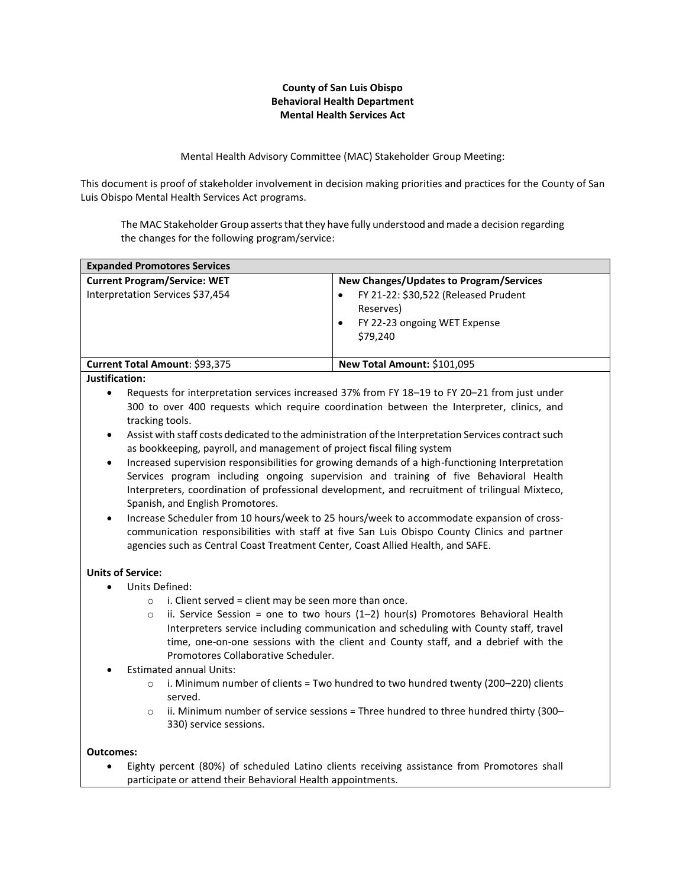## **County of San Luis Obispo Behavioral Health Department Mental Health Services Act**

Mental Health Advisory Committee (MAC) Stakeholder Group Meeting:

This document is proof of stakeholder involvement in decision making priorities and practices for the County of San Luis Obispo Mental Health Services Act programs.

The MAC Stakeholder Group asserts that they have fully understood and made a decision regarding the changes for the following program/service:

| New Changes/Updates to Program/Services                                                       |
|-----------------------------------------------------------------------------------------------|
| FY 21-22: \$30,522 (Released Prudent<br>Reserves)<br>FY 22-23 ongoing WET Expense<br>\$79.240 |
| New Total Amount: \$101,095                                                                   |
|                                                                                               |

## **Justification:**

- Requests for interpretation services increased 37% from FY 18–19 to FY 20–21 from just under 300 to over 400 requests which require coordination between the Interpreter, clinics, and tracking tools.
- Assist with staff costs dedicated to the administration of the Interpretation Services contract such as bookkeeping, payroll, and management of project fiscal filing system
- Increased supervision responsibilities for growing demands of a high-functioning Interpretation Services program including ongoing supervision and training of five Behavioral Health Interpreters, coordination of professional development, and recruitment of trilingual Mixteco, Spanish, and English Promotores.
- Increase Scheduler from 10 hours/week to 25 hours/week to accommodate expansion of crosscommunication responsibilities with staff at five San Luis Obispo County Clinics and partner agencies such as Central Coast Treatment Center, Coast Allied Health, and SAFE.

## **Units of Service:**

- Units Defined:
	- $\circ$  i. Client served = client may be seen more than once.
	- $\circ$  ii. Service Session = one to two hours (1-2) hour(s) Promotores Behavioral Health Interpreters service including communication and scheduling with County staff, travel time, one-on-one sessions with the client and County staff, and a debrief with the Promotores Collaborative Scheduler.
- Estimated annual Units:
	- $\circ$  i. Minimum number of clients = Two hundred to two hundred twenty (200–220) clients served.
	- $\circ$  ii. Minimum number of service sessions = Three hundred to three hundred thirty (300– 330) service sessions.

## **Outcomes:**

• Eighty percent (80%) of scheduled Latino clients receiving assistance from Promotores shall participate or attend their Behavioral Health appointments.